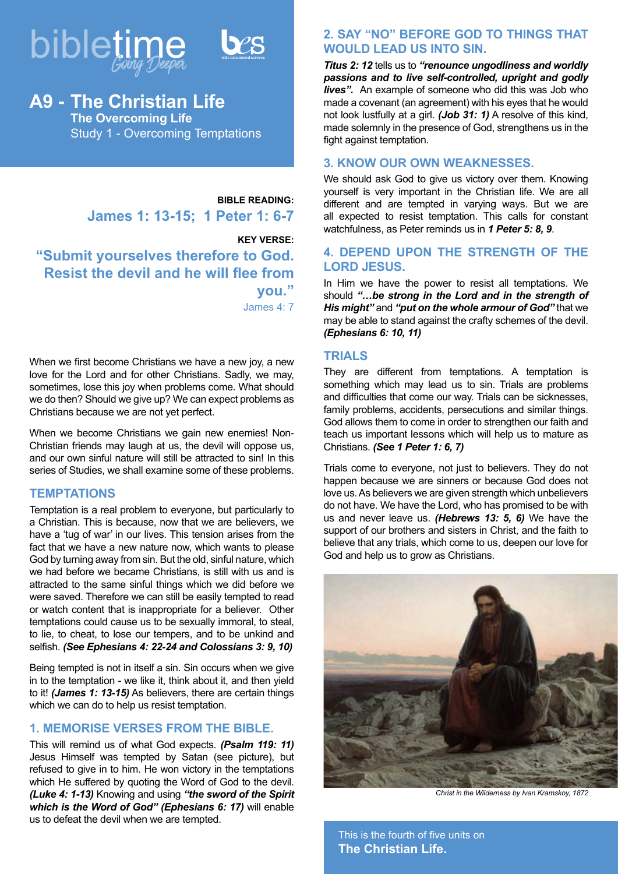



# **A9 - The Christian Life The Overcoming Life** Study 1 - Overcoming Temptations

**BIBLE READING: James 1: 13-15; 1 Peter 1: 6-7**

**KEY VERSE: "Submit yourselves therefore to God. Resist the devil and he will flee from you."** James 4: 7

When we first become Christians we have a new joy, a new love for the Lord and for other Christians. Sadly, we may, sometimes, lose this joy when problems come. What should we do then? Should we give up? We can expect problems as Christians because we are not yet perfect.

When we become Christians we gain new enemies! Non-Christian friends may laugh at us, the devil will oppose us, and our own sinful nature will still be attracted to sin! In this series of Studies, we shall examine some of these problems.

#### **TEMPTATIONS**

Temptation is a real problem to everyone, but particularly to a Christian. This is because, now that we are believers, we have a 'tug of war' in our lives. This tension arises from the fact that we have a new nature now, which wants to please God by turning away from sin. But the old, sinful nature, which we had before we became Christians, is still with us and is attracted to the same sinful things which we did before we were saved. Therefore we can still be easily tempted to read or watch content that is inappropriate for a believer. Other temptations could cause us to be sexually immoral, to steal, to lie, to cheat, to lose our tempers, and to be unkind and selfish. *(See Ephesians 4: 22-24 and Colossians 3: 9, 10)*

Being tempted is not in itself a sin. Sin occurs when we give in to the temptation - we like it, think about it, and then yield to it! *(James 1: 13-15)* As believers, there are certain things which we can do to help us resist temptation.

### **1. MEMORISE VERSES FROM THE BIBLE.**

This will remind us of what God expects. *(Psalm 119: 11)*  Jesus Himself was tempted by Satan (see picture), but refused to give in to him. He won victory in the temptations which He suffered by quoting the Word of God to the devil. *(Luke 4: 1-13)* Knowing and using *"the sword of the Spirit which is the Word of God" (Ephesians 6: 17)* will enable us to defeat the devil when we are tempted.

## **2. SAY "NO" BEFORE GOD TO THINGS THAT WOULD LEAD US INTO SIN.**

*Titus 2: 12* tells us to *"renounce ungodliness and worldly passions and to live self-controlled, upright and godly lives".* An example of someone who did this was Job who made a covenant (an agreement) with his eyes that he would not look lustfully at a girl. *(Job 31: 1)* A resolve of this kind, made solemnly in the presence of God, strengthens us in the fight against temptation.

#### **3. KNOW OUR OWN WEAKNESSES.**

We should ask God to give us victory over them. Knowing yourself is very important in the Christian life. We are all different and are tempted in varying ways. But we are all expected to resist temptation. This calls for constant watchfulness, as Peter reminds us in *1 Peter 5: 8, 9*.

## **4. DEPEND UPON THE STRENGTH OF THE LORD JESUS.**

In Him we have the power to resist all temptations. We should *"…be strong in the Lord and in the strength of His might"* and *"put on the whole armour of God"* that we may be able to stand against the crafty schemes of the devil. *(Ephesians 6: 10, 11)*

#### **TRIALS**

They are different from temptations. A temptation is something which may lead us to sin. Trials are problems and difficulties that come our way. Trials can be sicknesses, family problems, accidents, persecutions and similar things. God allows them to come in order to strengthen our faith and teach us important lessons which will help us to mature as Christians. *(See 1 Peter 1: 6, 7)*

Trials come to everyone, not just to believers. They do not happen because we are sinners or because God does not love us. As believers we are given strength which unbelievers do not have. We have the Lord, who has promised to be with us and never leave us. *(Hebrews 13: 5, 6)* We have the support of our brothers and sisters in Christ, and the faith to believe that any trials, which come to us, deepen our love for God and help us to grow as Christians.



*Christ in the Wilderness by Ivan Kramskoy, 1872*

This is the fourth of five units on **The Christian Life.**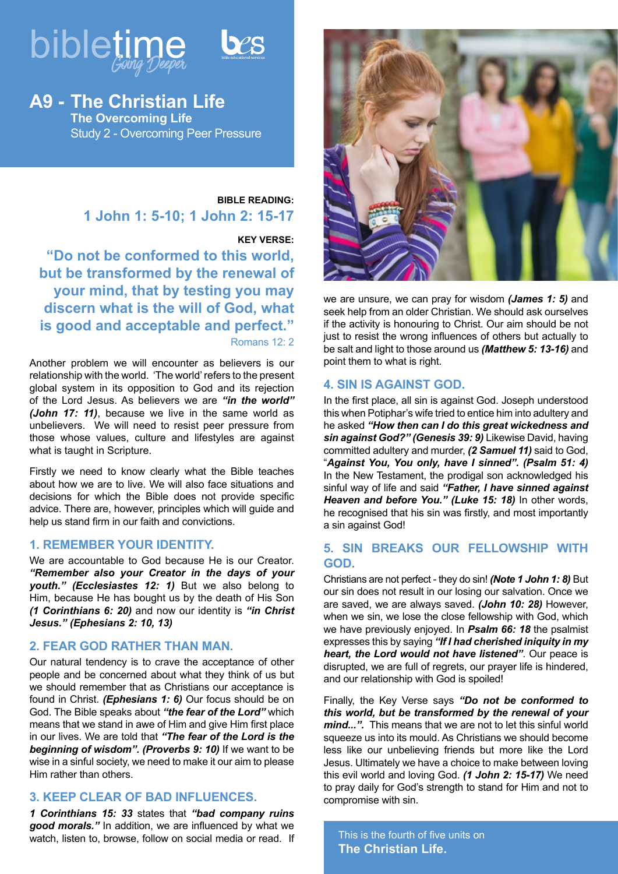



**A9 - The Christian Life The Overcoming Life** Study 2 - Overcoming Peer Pressure

## **BIBLE READING: 1 John 1: 5-10; 1 John 2: 15-17**

#### **KEY VERSE:**

**"Do not be conformed to this world, but be transformed by the renewal of your mind, that by testing you may discern what is the will of God, what is good and acceptable and perfect."** Romans 12: 2

Another problem we will encounter as believers is our relationship with the world. 'The world' refers to the present global system in its opposition to God and its rejection of the Lord Jesus. As believers we are *"in the world" (John 17: 11)*, because we live in the same world as unbelievers. We will need to resist peer pressure from those whose values, culture and lifestyles are against what is taught in Scripture.

Firstly we need to know clearly what the Bible teaches about how we are to live. We will also face situations and decisions for which the Bible does not provide specific advice. There are, however, principles which will guide and help us stand firm in our faith and convictions.

#### **1. REMEMBER YOUR IDENTITY.**

We are accountable to God because He is our Creator. *"Remember also your Creator in the days of your youth." (Ecclesiastes 12: 1)* But we also belong to Him, because He has bought us by the death of His Son *(1 Corinthians 6: 20)* and now our identity is *"in Christ Jesus." (Ephesians 2: 10, 13)*

## **2. FEAR GOD RATHER THAN MAN.**

Our natural tendency is to crave the acceptance of other people and be concerned about what they think of us but we should remember that as Christians our acceptance is found in Christ. *(Ephesians 1: 6)* Our focus should be on God. The Bible speaks about *"the fear of the Lord"* which means that we stand in awe of Him and give Him first place in our lives. We are told that *"The fear of the Lord is the beginning of wisdom". (Proverbs 9: 10)* If we want to be wise in a sinful society, we need to make it our aim to please Him rather than others.

## **3. KEEP CLEAR OF BAD INFLUENCES.**

*1 Corinthians 15: 33* states that *"bad company ruins good morals."* In addition, we are influenced by what we watch, listen to, browse, follow on social media or read. If



we are unsure, we can pray for wisdom *(James 1: 5)* and seek help from an older Christian. We should ask ourselves if the activity is honouring to Christ. Our aim should be not just to resist the wrong influences of others but actually to be salt and light to those around us *(Matthew 5: 13-16)* and point them to what is right.

#### **4. SIN IS AGAINST GOD.**

In the first place, all sin is against God. Joseph understood this when Potiphar's wife tried to entice him into adultery and he asked *"How then can I do this great wickedness and sin against God?" (Genesis 39: 9)* Likewise David, having committed adultery and murder, *(2 Samuel 11)* said to God, "*Against You, You only, have I sinned". (Psalm 51: 4)*  In the New Testament, the prodigal son acknowledged his sinful way of life and said *"Father, I have sinned against Heaven and before You." (Luke 15: 18)* In other words, he recognised that his sin was firstly, and most importantly a sin against God!

## **5. SIN BREAKS OUR FELLOWSHIP WITH GOD.**

Christians are not perfect - they do sin! *(Note 1 John 1: 8)* But our sin does not result in our losing our salvation. Once we are saved, we are always saved. *(John 10: 28)* However, when we sin, we lose the close fellowship with God, which we have previously enjoyed. In *Psalm 66: 18* the psalmist expresses this by saying *"If I had cherished iniquity in my heart, the Lord would not have listened"*. Our peace is disrupted, we are full of regrets, our prayer life is hindered, and our relationship with God is spoiled!

Finally, the Key Verse says *"Do not be conformed to this world, but be transformed by the renewal of your mind...".* This means that we are not to let this sinful world squeeze us into its mould. As Christians we should become less like our unbelieving friends but more like the Lord Jesus. Ultimately we have a choice to make between loving this evil world and loving God. *(1 John 2: 15-17)* We need to pray daily for God's strength to stand for Him and not to compromise with sin.

This is the fourth of five units on **The Christian Life.**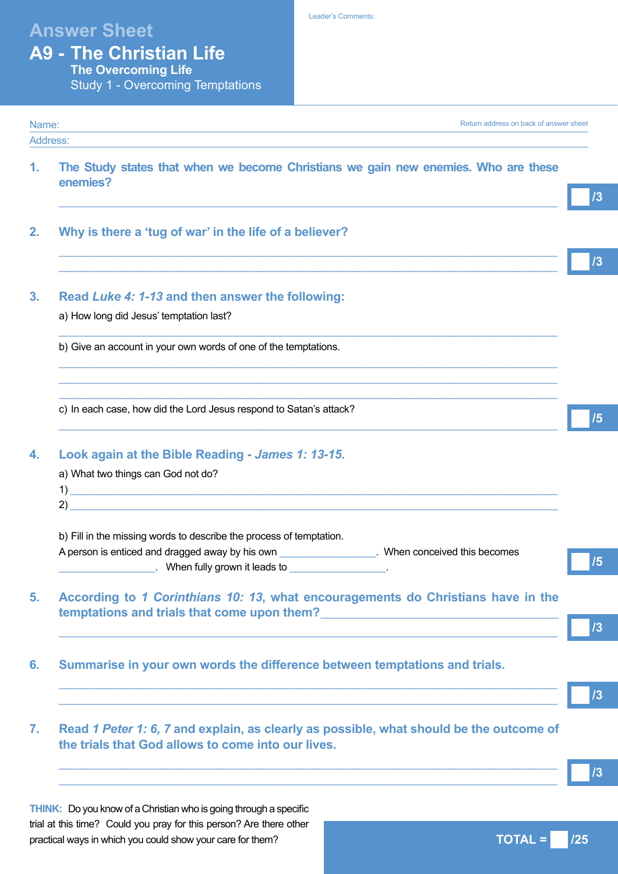# **Answer Sheet**

Leader's Comments:

| <b>A9 - The Christian Life</b> |
|--------------------------------|
| The Overcoming Life            |

Study 1 - Overcoming Temptations

|                | <b>Utday</b> Professioning remptations                                                                                                                                                    |                                                                                         |    |
|----------------|-------------------------------------------------------------------------------------------------------------------------------------------------------------------------------------------|-----------------------------------------------------------------------------------------|----|
| Name:          | the control of the control of the control of the control of the control of the control of                                                                                                 | Return address on back of answer sheet                                                  |    |
| Address:<br>1. | enemies?                                                                                                                                                                                  | The Study states that when we become Christians we gain new enemies. Who are these      | /3 |
| 2.             | Why is there a 'tug of war' in the life of a believer?                                                                                                                                    | <u> 1989 - Johann Stoff, amerikansk politiker (d. 1989)</u>                             | 13 |
| 3.             | Read Luke 4: 1-13 and then answer the following:<br>a) How long did Jesus' temptation last?                                                                                               |                                                                                         |    |
|                | b) Give an account in your own words of one of the temptations.                                                                                                                           |                                                                                         |    |
|                | c) In each case, how did the Lord Jesus respond to Satan's attack?                                                                                                                        |                                                                                         | /5 |
| 4.             | Look again at the Bible Reading - James 1: 13-15.<br>a) What two things can God not do?<br>2)                                                                                             |                                                                                         |    |
|                | b) Fill in the missing words to describe the process of temptation.<br>A person is enticed and dragged away by his own<br>Letter Library and Milly grown it leads to Letter Library 2014. | __. When conceived this becomes                                                         | /5 |
| 5.             | temptations and trials that come upon them?                                                                                                                                               | According to 1 Corinthians 10: 13, what encouragements do Christians have in the        | /3 |
| 6.             | Summarise in your own words the difference between temptations and trials.                                                                                                                |                                                                                         | /3 |
| 7.             | the trials that God allows to come into our lives.                                                                                                                                        | Read 1 Peter 1: 6, 7 and explain, as clearly as possible, what should be the outcome of |    |
|                |                                                                                                                                                                                           |                                                                                         | /3 |

**THINK:** Do you know of a Christian who is going through a specific trial at this time? Could you pray for this person? Are there other practical ways in which you could show your care for them?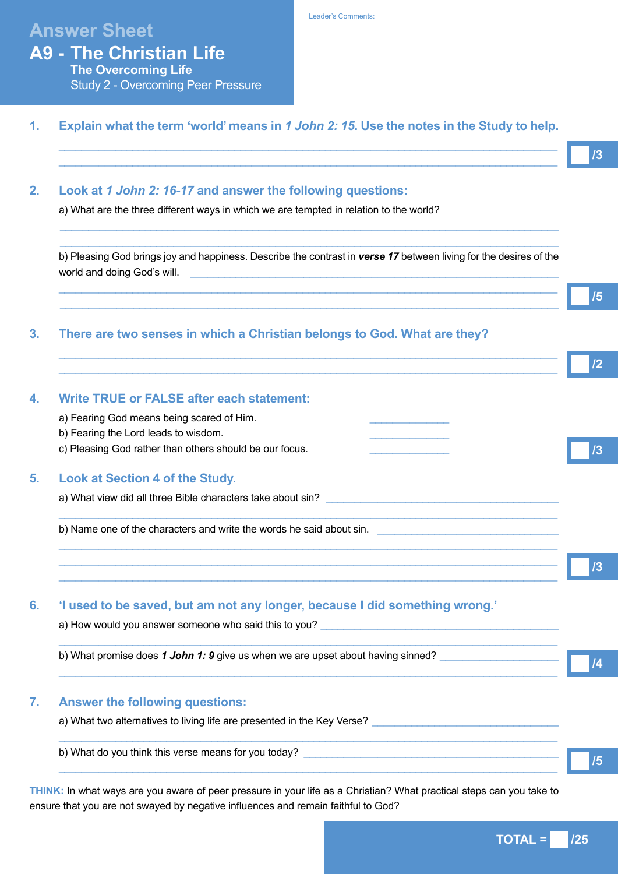# **Answer Sheet**

## **A9 - The Christian Life The Overcoming Life** Study 2 - Overcoming Peer Pressure

# **1. Explain what the term 'world' means in** *1 John 2: 15***. Use the notes in the Study to help.**

## $\_$  ,  $\_$  ,  $\_$  ,  $\_$  ,  $\_$  ,  $\_$  ,  $\_$  ,  $\_$  ,  $\_$  ,  $\_$  ,  $\_$  ,  $\_$  ,  $\_$  ,  $\_$  ,  $\_$  ,  $\_$  ,  $\_$  ,  $\_$  ,  $\_$  ,  $\_$  ,  $\_$  ,  $\_$  ,  $\_$  ,  $\_$  ,  $\_$  ,  $\_$  ,  $\_$  ,  $\_$  ,  $\_$  ,  $\_$  ,  $\_$  ,  $\_$  ,  $\_$  ,  $\_$  ,  $\_$  ,  $\_$  ,  $\_$  ,  $\_$  ,  $\_$  ,  $\_$  ,  $\_$  ,  $\_$  ,  $\_$  ,  $\_$  ,  $\_$  ,  $\_$  ,  $\_$  ,  $\_$  ,  $\_$  ,  $\_$  ,  $\_$  ,  $\_$  ,  $\_$  ,  $\_$  ,  $\_$  ,  $\_$  ,  $\_$  ,  $\_$  ,  $\_$  ,  $\_$  ,  $\_$  ,  $\_$  ,  $\_$  ,  $\_$  ,  $\_$  ,  $\_$  ,  $\_$  ,  $\_$  ,  $\_$  ,  $\_$  ,  $\_$  ,  $\_$  ,  $\_$  ,  $\_$  , **2. Look at** *1 John 2: 16-17* **and answer the following questions:** a) What are the three different ways in which we are tempted in relation to the world?  $\mathcal{L}_\text{max} = \frac{1}{2} \sum_{i=1}^{n} \frac{1}{2} \sum_{i=1}^{n} \frac{1}{2} \sum_{i=1}^{n} \frac{1}{2} \sum_{i=1}^{n} \frac{1}{2} \sum_{i=1}^{n} \frac{1}{2} \sum_{i=1}^{n} \frac{1}{2} \sum_{i=1}^{n} \frac{1}{2} \sum_{i=1}^{n} \frac{1}{2} \sum_{i=1}^{n} \frac{1}{2} \sum_{i=1}^{n} \frac{1}{2} \sum_{i=1}^{n} \frac{1}{2} \sum_{i=1}^{n} \frac{1$  $\mathcal{L}_\text{max} = \frac{1}{2} \sum_{i=1}^{n} \frac{1}{2} \sum_{i=1}^{n} \frac{1}{2} \sum_{i=1}^{n} \frac{1}{2} \sum_{i=1}^{n} \frac{1}{2} \sum_{i=1}^{n} \frac{1}{2} \sum_{i=1}^{n} \frac{1}{2} \sum_{i=1}^{n} \frac{1}{2} \sum_{i=1}^{n} \frac{1}{2} \sum_{i=1}^{n} \frac{1}{2} \sum_{i=1}^{n} \frac{1}{2} \sum_{i=1}^{n} \frac{1}{2} \sum_{i=1}^{n} \frac{1$ b) Pleasing God brings joy and happiness. Describe the contrast in *verse 17* between living for the desires of the world and doing God's will.  $\_$  ,  $\_$  ,  $\_$  ,  $\_$  ,  $\_$  ,  $\_$  ,  $\_$  ,  $\_$  ,  $\_$  ,  $\_$  ,  $\_$  ,  $\_$  ,  $\_$  ,  $\_$  ,  $\_$  ,  $\_$  ,  $\_$  ,  $\_$  ,  $\_$  ,  $\_$  ,  $\_$  ,  $\_$  ,  $\_$  ,  $\_$  ,  $\_$  ,  $\_$  ,  $\_$  ,  $\_$  ,  $\_$  ,  $\_$  ,  $\_$  ,  $\_$  ,  $\_$  ,  $\_$  ,  $\_$  ,  $\_$  ,  $\_$  ,  $\mathcal{L}_\text{max} = \frac{1}{2} \sum_{i=1}^{n} \frac{1}{2} \sum_{i=1}^{n} \frac{1}{2} \sum_{i=1}^{n} \frac{1}{2} \sum_{i=1}^{n} \frac{1}{2} \sum_{i=1}^{n} \frac{1}{2} \sum_{i=1}^{n} \frac{1}{2} \sum_{i=1}^{n} \frac{1}{2} \sum_{i=1}^{n} \frac{1}{2} \sum_{i=1}^{n} \frac{1}{2} \sum_{i=1}^{n} \frac{1}{2} \sum_{i=1}^{n} \frac{1}{2} \sum_{i=1}^{n} \frac{1$ **3. There are two senses in which a Christian belongs to God. What are they?**  $\_$  ,  $\_$  ,  $\_$  ,  $\_$  ,  $\_$  ,  $\_$  ,  $\_$  ,  $\_$  ,  $\_$  ,  $\_$  ,  $\_$  ,  $\_$  ,  $\_$  ,  $\_$  ,  $\_$  ,  $\_$  ,  $\_$  ,  $\_$  ,  $\_$  ,  $\_$  ,  $\_$  ,  $\_$  ,  $\_$  ,  $\_$  ,  $\_$  ,  $\_$  ,  $\_$  ,  $\_$  ,  $\_$  ,  $\_$  ,  $\_$  ,  $\_$  ,  $\_$  ,  $\_$  ,  $\_$  ,  $\_$  ,  $\_$  ,  $\_$  ,  $\_$  ,  $\_$  ,  $\_$  ,  $\_$  ,  $\_$  ,  $\_$  ,  $\_$  ,  $\_$  ,  $\_$  ,  $\_$  ,  $\_$  ,  $\_$  ,  $\_$  ,  $\_$  ,  $\_$  ,  $\_$  ,  $\_$  ,  $\_$  ,  $\_$  ,  $\_$  ,  $\_$  ,  $\_$  ,  $\_$  ,  $\_$  ,  $\_$  ,  $\_$  ,  $\_$  ,  $\_$  ,  $\_$  ,  $\_$  ,  $\_$  ,  $\_$  ,  $\_$  ,  $\_$  ,  $\_$  ,  $\_$  , **4. Write TRUE or FALSE after each statement:** a) Fearing God means being scared of Him. b) Fearing the Lord leads to wisdom. c) Pleasing God rather than others should be our focus. **5. Look at Section 4 of the Study.** a) What view did all three Bible characters take about sin?  $\_$  ,  $\_$  ,  $\_$  ,  $\_$  ,  $\_$  ,  $\_$  ,  $\_$  ,  $\_$  ,  $\_$  ,  $\_$  ,  $\_$  ,  $\_$  ,  $\_$  ,  $\_$  ,  $\_$  ,  $\_$  ,  $\_$  ,  $\_$  ,  $\_$  ,  $\_$  ,  $\_$  ,  $\_$  ,  $\_$  ,  $\_$  ,  $\_$  ,  $\_$  ,  $\_$  ,  $\_$  ,  $\_$  ,  $\_$  ,  $\_$  ,  $\_$  ,  $\_$  ,  $\_$  ,  $\_$  ,  $\_$  ,  $\_$  , b) Name one of the characters and write the words he said about sin.  $\_$  ,  $\_$  ,  $\_$  ,  $\_$  ,  $\_$  ,  $\_$  ,  $\_$  ,  $\_$  ,  $\_$  ,  $\_$  ,  $\_$  ,  $\_$  ,  $\_$  ,  $\_$  ,  $\_$  ,  $\_$  ,  $\_$  ,  $\_$  ,  $\_$  ,  $\_$  ,  $\_$  ,  $\_$  ,  $\_$  ,  $\_$  ,  $\_$  ,  $\_$  ,  $\_$  ,  $\_$  ,  $\_$  ,  $\_$  ,  $\_$  ,  $\_$  ,  $\_$  ,  $\_$  ,  $\_$  ,  $\_$  ,  $\_$  ,  $\_$  ,  $\_$  ,  $\_$  ,  $\_$  ,  $\_$  ,  $\_$  ,  $\_$  ,  $\_$  ,  $\_$  ,  $\_$  ,  $\_$  ,  $\_$  ,  $\_$  ,  $\_$  ,  $\_$  ,  $\_$  ,  $\_$  ,  $\_$  ,  $\_$  ,  $\_$  ,  $\_$  ,  $\_$  ,  $\_$  ,  $\_$  ,  $\_$  ,  $\_$  ,  $\_$  ,  $\_$  ,  $\_$  ,  $\_$  ,  $\_$  ,  $\_$  ,  $\_$  ,  $\_$  ,  $\_$  ,  $\_$  ,  $\_$  ,  $\_$  ,  $\_$  ,  $\_$  ,  $\_$  ,  $\_$  ,  $\_$  ,  $\_$  ,  $\_$  ,  $\_$  ,  $\_$  ,  $\_$  ,  $\_$  ,  $\_$  ,  $\_$  ,  $\_$  ,  $\_$  ,  $\_$  ,  $\_$  ,  $\_$  ,  $\_$  ,  $\_$  ,  $\_$  ,  $\_$  ,  $\_$  ,  $\_$  ,  $\_$  ,  $\_$  ,  $\_$  ,  $\_$  ,  $\_$  ,  $\_$  ,  $\_$  ,  $\_$  ,  $\_$  ,  $\_$  ,  $\_$  ,  $\_$  , **6. 'I used to be saved, but am not any longer, because I did something wrong.'** a) How would you answer someone who said this to you?  $\_$  ,  $\_$  ,  $\_$  ,  $\_$  ,  $\_$  ,  $\_$  ,  $\_$  ,  $\_$  ,  $\_$  ,  $\_$  ,  $\_$  ,  $\_$  ,  $\_$  ,  $\_$  ,  $\_$  ,  $\_$  ,  $\_$  ,  $\_$  ,  $\_$  ,  $\_$  ,  $\_$  ,  $\_$  ,  $\_$  ,  $\_$  ,  $\_$  ,  $\_$  ,  $\_$  ,  $\_$  ,  $\_$  ,  $\_$  ,  $\_$  ,  $\_$  ,  $\_$  ,  $\_$  ,  $\_$  ,  $\_$  ,  $\_$  , b) What promise does 1 John 1: 9 give us when we are upset about having sinned?  $\_$  ,  $\_$  ,  $\_$  ,  $\_$  ,  $\_$  ,  $\_$  ,  $\_$  ,  $\_$  ,  $\_$  ,  $\_$  ,  $\_$  ,  $\_$  ,  $\_$  ,  $\_$  ,  $\_$  ,  $\_$  ,  $\_$  ,  $\_$  ,  $\_$  ,  $\_$  ,  $\_$  ,  $\_$  ,  $\_$  ,  $\_$  ,  $\_$  ,  $\_$  ,  $\_$  ,  $\_$  ,  $\_$  ,  $\_$  ,  $\_$  ,  $\_$  ,  $\_$  ,  $\_$  ,  $\_$  ,  $\_$  ,  $\_$  , **7. Answer the following questions:** a) What two alternatives to living life are presented in the Key Verse?  $\_$  ,  $\_$  ,  $\_$  ,  $\_$  ,  $\_$  ,  $\_$  ,  $\_$  ,  $\_$  ,  $\_$  ,  $\_$  ,  $\_$  ,  $\_$  ,  $\_$  ,  $\_$  ,  $\_$  ,  $\_$  ,  $\_$  ,  $\_$  ,  $\_$  ,  $\_$  ,  $\_$  ,  $\_$  ,  $\_$  ,  $\_$  ,  $\_$  ,  $\_$  ,  $\_$  ,  $\_$  ,  $\_$  ,  $\_$  ,  $\_$  ,  $\_$  ,  $\_$  ,  $\_$  ,  $\_$  ,  $\_$  ,  $\_$  , b) What do you think this verse means for you today? \_\_\_\_\_\_\_\_\_\_\_\_\_\_\_\_\_\_\_\_\_\_\_\_\_\_\_\_  $\Box$  . The contribution of the contribution of the contribution of the contribution of the contribution of the contribution of the contribution of the contribution of the contribution of the contribution of the contributi **/3 /5 /5 /2 /3 /3 /4**

**THINK:** In what ways are you aware of peer pressure in your life as a Christian? What practical steps can you take to ensure that you are not swayed by negative influences and remain faithful to God?

**TOTAL = 725**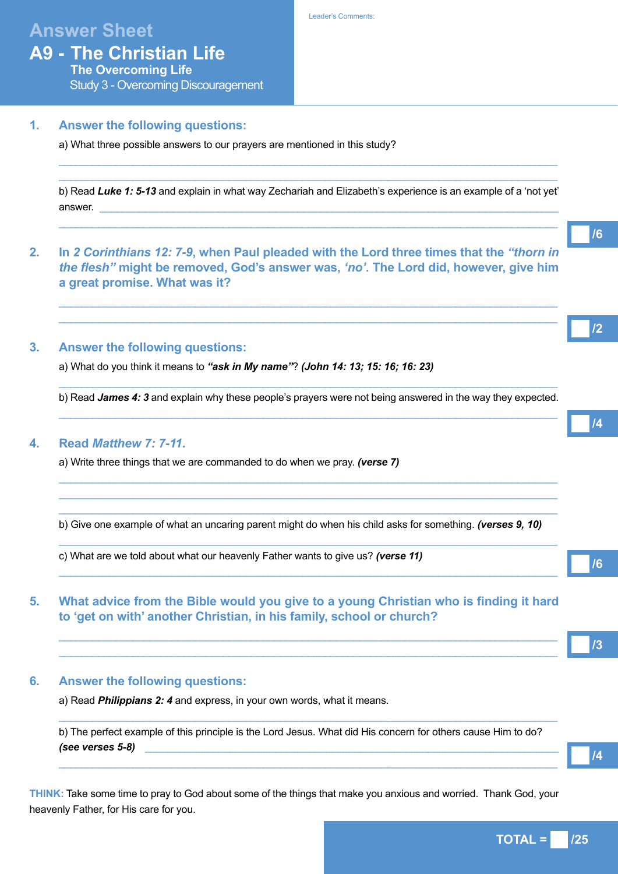# **Answer Sheet**

# **A9 - The Christian Life The Overcoming Life**

Study 3 - Overcoming Discouragement

## **1. Answer the following questions:**

a) What three possible answers to our prayers are mentioned in this study?

b) Read *Luke 1: 5-13* and explain in what way Zechariah and Elizabeth's experience is an example of a 'not yet' answer. \_\_\_\_\_\_\_\_\_\_\_\_\_\_\_\_\_\_\_\_\_\_\_\_\_\_\_\_\_\_\_\_\_\_\_\_\_\_\_\_\_\_\_\_\_\_\_\_\_\_\_\_\_\_\_\_\_\_\_\_\_\_\_\_\_\_\_\_\_\_\_\_\_\_\_\_\_\_\_\_\_

 $\_$  ,  $\_$  ,  $\_$  ,  $\_$  ,  $\_$  ,  $\_$  ,  $\_$  ,  $\_$  ,  $\_$  ,  $\_$  ,  $\_$  ,  $\_$  ,  $\_$  ,  $\_$  ,  $\_$  ,  $\_$  ,  $\_$  ,  $\_$  ,  $\_$  ,  $\_$  ,  $\_$  ,  $\_$  ,  $\_$  ,  $\_$  ,  $\_$  ,  $\_$  ,  $\_$  ,  $\_$  ,  $\_$  ,  $\_$  ,  $\_$  ,  $\_$  ,  $\_$  ,  $\_$  ,  $\_$  ,  $\_$  ,  $\_$  ,

 $\Box$  . The contribution of the contribution of the contribution of the contribution of the contribution of the contribution of the contribution of the contribution of the contribution of the contribution of the contributi  $\Box$  . The contribution of the contribution of the contribution of the contribution of the contribution of the contribution of the contribution of the contribution of the contribution of the contribution of the contributi

 $\_$  ,  $\_$  ,  $\_$  ,  $\_$  ,  $\_$  ,  $\_$  ,  $\_$  ,  $\_$  ,  $\_$  ,  $\_$  ,  $\_$  ,  $\_$  ,  $\_$  ,  $\_$  ,  $\_$  ,  $\_$  ,  $\_$  ,  $\_$  ,  $\_$  ,  $\_$  ,  $\_$  ,  $\_$  ,  $\_$  ,  $\_$  ,  $\_$  ,  $\_$  ,  $\_$  ,  $\_$  ,  $\_$  ,  $\_$  ,  $\_$  ,  $\_$  ,  $\_$  ,  $\_$  ,  $\_$  ,  $\_$  ,  $\_$  ,  $\_$  ,  $\_$  ,  $\_$  ,  $\_$  ,  $\_$  ,  $\_$  ,  $\_$  ,  $\_$  ,  $\_$  ,  $\_$  ,  $\_$  ,  $\_$  ,  $\_$  ,  $\_$  ,  $\_$  ,  $\_$  ,  $\_$  ,  $\_$  ,  $\_$  ,  $\_$  ,  $\_$  ,  $\_$  ,  $\_$  ,  $\_$  ,  $\_$  ,  $\_$  ,  $\_$  ,  $\_$  ,  $\_$  ,  $\_$  ,  $\_$  ,  $\_$  ,  $\_$  ,  $\_$  ,  $\_$  ,  $\_$  ,  $\_$  ,

**2. In** *2 Corinthians 12: 7-9***, when Paul pleaded with the Lord three times that the** *"thorn in the flesh"* **might be removed, God's answer was,** *'no'***. The Lord did, however, give him a great promise. What was it?** 

## **3. Answer the following questions:**

a) What do you think it means to *"ask in My name"*? *(John 14: 13; 15: 16; 16: 23)*

 $\_$  ,  $\_$  ,  $\_$  ,  $\_$  ,  $\_$  ,  $\_$  ,  $\_$  ,  $\_$  ,  $\_$  ,  $\_$  ,  $\_$  ,  $\_$  ,  $\_$  ,  $\_$  ,  $\_$  ,  $\_$  ,  $\_$  ,  $\_$  ,  $\_$  ,  $\_$  ,  $\_$  ,  $\_$  ,  $\_$  ,  $\_$  ,  $\_$  ,  $\_$  ,  $\_$  ,  $\_$  ,  $\_$  ,  $\_$  ,  $\_$  ,  $\_$  ,  $\_$  ,  $\_$  ,  $\_$  ,  $\_$  ,  $\_$  , b) Read *James 4: 3* and explain why these people's prayers were not being answered in the way they expected.  $\_$  ,  $\_$  ,  $\_$  ,  $\_$  ,  $\_$  ,  $\_$  ,  $\_$  ,  $\_$  ,  $\_$  ,  $\_$  ,  $\_$  ,  $\_$  ,  $\_$  ,  $\_$  ,  $\_$  ,  $\_$  ,  $\_$  ,  $\_$  ,  $\_$  ,  $\_$  ,  $\_$  ,  $\_$  ,  $\_$  ,  $\_$  ,  $\_$  ,  $\_$  ,  $\_$  ,  $\_$  ,  $\_$  ,  $\_$  ,  $\_$  ,  $\_$  ,  $\_$  ,  $\_$  ,  $\_$  ,  $\_$  ,  $\_$  ,

 $\_$  ,  $\_$  ,  $\_$  ,  $\_$  ,  $\_$  ,  $\_$  ,  $\_$  ,  $\_$  ,  $\_$  ,  $\_$  ,  $\_$  ,  $\_$  ,  $\_$  ,  $\_$  ,  $\_$  ,  $\_$  ,  $\_$  ,  $\_$  ,  $\_$  ,  $\_$  ,  $\_$  ,  $\_$  ,  $\_$  ,  $\_$  ,  $\_$  ,  $\_$  ,  $\_$  ,  $\_$  ,  $\_$  ,  $\_$  ,  $\_$  ,  $\_$  ,  $\_$  ,  $\_$  ,  $\_$  ,  $\_$  ,  $\_$  ,  $\_$  ,  $\_$  ,  $\_$  ,  $\_$  ,  $\_$  ,  $\_$  ,  $\_$  ,  $\_$  ,  $\_$  ,  $\_$  ,  $\_$  ,  $\_$  ,  $\_$  ,  $\_$  ,  $\_$  ,  $\_$  ,  $\_$  ,  $\_$  ,  $\_$  ,  $\_$  ,  $\_$  ,  $\_$  ,  $\_$  ,  $\_$  ,  $\_$  ,  $\_$  ,  $\_$  ,  $\_$  ,  $\_$  ,  $\_$  ,  $\_$  ,  $\_$  ,  $\_$  ,  $\_$  ,  $\_$  ,  $\_$  ,  $\_$  ,  $\_$  ,  $\_$  ,  $\_$  ,  $\_$  ,  $\_$  ,  $\_$  ,  $\_$  ,  $\_$  ,  $\_$  ,  $\_$  ,  $\_$  ,  $\_$  ,  $\_$  ,  $\_$  ,  $\_$  ,  $\_$  ,  $\_$  ,  $\_$  ,  $\_$  ,  $\_$  ,  $\_$  ,  $\_$  ,  $\_$  ,  $\_$  ,  $\_$  ,  $\_$  ,  $\_$  ,  $\_$  ,  $\_$  ,  $\_$  ,  $\_$  ,  $\_$  ,  $\_$  ,  $\_$  ,  $\_$  ,  $\_$  ,  $\_$  ,

 $\_$  ,  $\_$  ,  $\_$  ,  $\_$  ,  $\_$  ,  $\_$  ,  $\_$  ,  $\_$  ,  $\_$  ,  $\_$  ,  $\_$  ,  $\_$  ,  $\_$  ,  $\_$  ,  $\_$  ,  $\_$  ,  $\_$  ,  $\_$  ,  $\_$  ,  $\_$  ,  $\_$  ,  $\_$  ,  $\_$  ,  $\_$  ,  $\_$  ,  $\_$  ,  $\_$  ,  $\_$  ,  $\_$  ,  $\_$  ,  $\_$  ,  $\_$  ,  $\_$  ,  $\_$  ,  $\_$  ,  $\_$  ,  $\_$  ,

 $\_$  ,  $\_$  ,  $\_$  ,  $\_$  ,  $\_$  ,  $\_$  ,  $\_$  ,  $\_$  ,  $\_$  ,  $\_$  ,  $\_$  ,  $\_$  ,  $\_$  ,  $\_$  ,  $\_$  ,  $\_$  ,  $\_$  ,  $\_$  ,  $\_$  ,  $\_$  ,  $\_$  ,  $\_$  ,  $\_$  ,  $\_$  ,  $\_$  ,  $\_$  ,  $\_$  ,  $\_$  ,  $\_$  ,  $\_$  ,  $\_$  ,  $\_$  ,  $\_$  ,  $\_$  ,  $\_$  ,  $\_$  ,  $\_$  ,

 $\_$  ,  $\_$  ,  $\_$  ,  $\_$  ,  $\_$  ,  $\_$  ,  $\_$  ,  $\_$  ,  $\_$  ,  $\_$  ,  $\_$  ,  $\_$  ,  $\_$  ,  $\_$  ,  $\_$  ,  $\_$  ,  $\_$  ,  $\_$  ,  $\_$  ,  $\_$  ,  $\_$  ,  $\_$  ,  $\_$  ,  $\_$  ,  $\_$  ,  $\_$  ,  $\_$  ,  $\_$  ,  $\_$  ,  $\_$  ,  $\_$  ,  $\_$  ,  $\_$  ,  $\_$  ,  $\_$  ,  $\_$  ,  $\_$  ,  $\_$  ,  $\_$  ,  $\_$  ,  $\_$  ,  $\_$  ,  $\_$  ,  $\_$  ,  $\_$  ,  $\_$  ,  $\_$  ,  $\_$  ,  $\_$  ,  $\_$  ,  $\_$  ,  $\_$  ,  $\_$  ,  $\_$  ,  $\_$  ,  $\_$  ,  $\_$  ,  $\_$  ,  $\_$  ,  $\_$  ,  $\_$  ,  $\_$  ,  $\_$  ,  $\_$  ,  $\_$  ,  $\_$  ,  $\_$  ,  $\_$  ,  $\_$  ,  $\_$  ,  $\_$  ,  $\_$  ,  $\_$  ,  $\_$  ,

## **4. Read** *Matthew 7: 7-11***.**

a) Write three things that we are commanded to do when we pray. *(verse 7)*

b) Give one example of what an uncaring parent might do when his child asks for something. *(verses 9, 10)* 

c) What are we told about what our heavenly Father wants to give us? *(verse 11)*

## **5. What advice from the Bible would you give to a young Christian who is finding it hard to 'get on with' another Christian, in his family, school or church?**

## **6. Answer the following questions:**

a) Read *Philippians 2: 4* and express, in your own words, what it means.

b) The perfect example of this principle is the Lord Jesus. What did His concern for others cause Him to do? *(see verses 5-8)* \_\_\_\_\_\_\_\_\_\_\_\_\_\_\_\_\_\_\_\_\_\_\_\_\_\_\_\_\_\_\_\_\_\_\_\_\_\_\_\_\_\_\_\_\_\_\_\_\_\_\_\_\_\_\_\_\_\_\_\_\_\_\_\_\_\_\_\_\_\_\_\_\_

 $\_$  ,  $\_$  ,  $\_$  ,  $\_$  ,  $\_$  ,  $\_$  ,  $\_$  ,  $\_$  ,  $\_$  ,  $\_$  ,  $\_$  ,  $\_$  ,  $\_$  ,  $\_$  ,  $\_$  ,  $\_$  ,  $\_$  ,  $\_$  ,  $\_$  ,  $\_$  ,  $\_$  ,  $\_$  ,  $\_$  ,  $\_$  ,  $\_$  ,  $\_$  ,  $\_$  ,  $\_$  ,  $\_$  ,  $\_$  ,  $\_$  ,  $\_$  ,  $\_$  ,  $\_$  ,  $\_$  ,  $\_$  ,  $\_$  ,

 $\_$  ,  $\_$  ,  $\_$  ,  $\_$  ,  $\_$  ,  $\_$  ,  $\_$  ,  $\_$  ,  $\_$  ,  $\_$  ,  $\_$  ,  $\_$  ,  $\_$  ,  $\_$  ,  $\_$  ,  $\_$  ,  $\_$  ,  $\_$  ,  $\_$  ,  $\_$  ,  $\_$  ,  $\_$  ,  $\_$  ,  $\_$  ,  $\_$  ,  $\_$  ,  $\_$  ,  $\_$  ,  $\_$  ,  $\_$  ,  $\_$  ,  $\_$  ,  $\_$  ,  $\_$  ,  $\_$  ,  $\_$  ,  $\_$  ,

**THINK:** Take some time to pray to God about some of the things that make you anxious and worried. Thank God, your heavenly Father, for His care for you.

**TOTAL = /25**

**/6**

**/3**

**/6**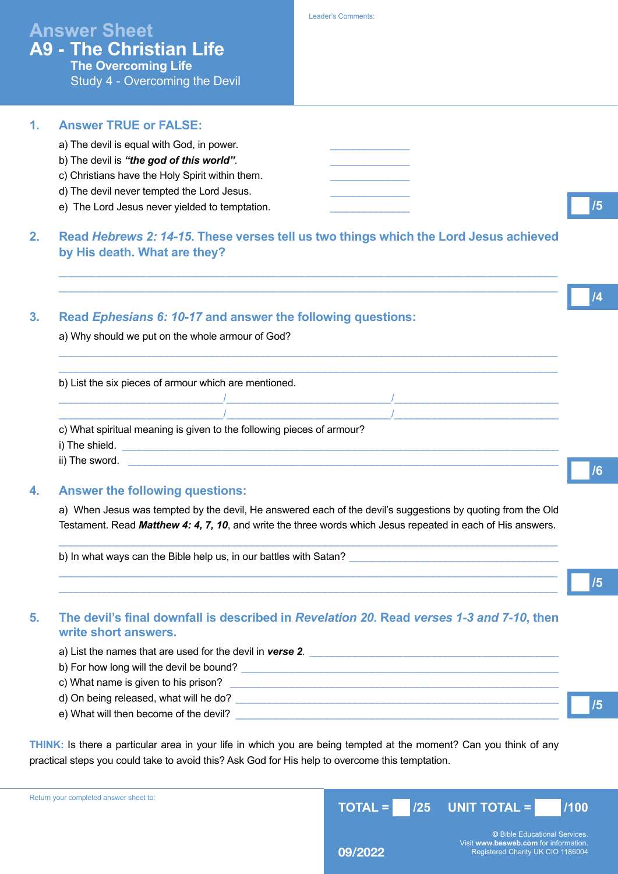# **Answer Sheet A9 - The Christian Life The Overcoming Life**

Study 4 - Overcoming the Devil

## **1. Answer TRUE or FALSE:** a) The devil is equal with God, in power. b) The devil is "the god of this world". c) Christians have the Holy Spirit within them. d) The devil never tempted the Lord Jesus. e) The Lord Jesus never yielded to temptation. **2. Read** *Hebrews 2: 14-15***. These verses tell us two things which the Lord Jesus achieved by His death. What are they? /5**

 $\_$  ,  $\_$  ,  $\_$  ,  $\_$  ,  $\_$  ,  $\_$  ,  $\_$  ,  $\_$  ,  $\_$  ,  $\_$  ,  $\_$  ,  $\_$  ,  $\_$  ,  $\_$  ,  $\_$  ,  $\_$  ,  $\_$  ,  $\_$  ,  $\_$  ,  $\_$  ,  $\_$  ,  $\_$  ,  $\_$  ,  $\_$  ,  $\_$  ,  $\_$  ,  $\_$  ,  $\_$  ,  $\_$  ,  $\_$  ,  $\_$  ,  $\_$  ,  $\_$  ,  $\_$  ,  $\_$  ,  $\_$  ,  $\_$  ,  $\_$  ,  $\_$  ,  $\_$  ,  $\_$  ,  $\_$  ,  $\_$  ,  $\_$  ,  $\_$  ,  $\_$  ,  $\_$  ,  $\_$  ,  $\_$  ,  $\_$  ,  $\_$  ,  $\_$  ,  $\_$  ,  $\_$  ,  $\_$  ,  $\_$  ,  $\_$  ,  $\_$  ,  $\_$  ,  $\_$  ,  $\_$  ,  $\_$  ,  $\_$  ,  $\_$  ,  $\_$  ,  $\_$  ,  $\_$  ,  $\_$  ,  $\_$  ,  $\_$  ,  $\_$  ,  $\_$  ,  $\_$  ,  $\_$  ,

 $\_$  ,  $\_$  ,  $\_$  ,  $\_$  ,  $\_$  ,  $\_$  ,  $\_$  ,  $\_$  ,  $\_$  ,  $\_$  ,  $\_$  ,  $\_$  ,  $\_$  ,  $\_$  ,  $\_$  ,  $\_$  ,  $\_$  ,  $\_$  ,  $\_$  ,  $\_$  ,  $\_$  ,  $\_$  ,  $\_$  ,  $\_$  ,  $\_$  ,  $\_$  ,  $\_$  ,  $\_$  ,  $\_$  ,  $\_$  ,  $\_$  ,  $\_$  ,  $\_$  ,  $\_$  ,  $\_$  ,  $\_$  ,  $\_$  ,  $\_$  ,  $\_$  ,  $\_$  ,  $\_$  ,  $\_$  ,  $\_$  ,  $\_$  ,  $\_$  ,  $\_$  ,  $\_$  ,  $\_$  ,  $\_$  ,  $\_$  ,  $\_$  ,  $\_$  ,  $\_$  ,  $\_$  ,  $\_$  ,  $\_$  ,  $\_$  ,  $\_$  ,  $\_$  ,  $\_$  ,  $\_$  ,  $\_$  ,  $\_$  ,  $\_$  ,  $\_$  ,  $\_$  ,  $\_$  ,  $\_$  ,  $\_$  ,  $\_$  ,  $\_$  ,  $\_$  ,  $\_$  ,  $\_$  ,

\_\_\_\_\_\_\_\_\_\_\_\_\_\_\_\_\_\_\_\_\_\_\_\_\_\_\_\_\_ / \_\_\_\_\_\_\_\_\_\_\_\_\_\_\_\_\_\_\_\_\_\_\_\_\_\_\_\_\_ / \_\_\_\_\_\_\_\_\_\_\_\_\_\_\_\_\_\_\_\_\_\_\_\_\_\_\_\_\_

**3. Read** *Ephesians 6: 10-17* **and answer the following questions:**

a) Why should we put on the whole armour of God?

b) List the six pieces of armour which are mentioned.

c) What spiritual meaning is given to the following pieces of armour?

 $\overline{I}$ 

i) The shield. \_\_\_\_\_\_\_\_\_\_\_\_\_\_\_\_\_\_\_\_\_\_\_\_\_\_\_\_\_\_\_\_\_\_\_\_\_\_\_\_\_\_\_\_\_\_\_\_\_\_\_\_\_\_\_\_\_\_\_\_\_\_\_\_\_\_\_\_\_\_\_\_\_\_\_\_\_

ii) The sword. \_\_\_\_\_\_\_\_\_\_\_\_\_\_\_\_\_\_\_\_\_\_\_\_\_\_\_\_\_\_\_\_\_\_\_\_\_\_\_\_\_\_\_\_\_\_\_\_\_\_\_\_\_\_\_\_\_\_\_\_\_\_\_\_\_\_\_\_\_\_\_\_\_\_\_\_

### **4. Answer the following questions:**

a) When Jesus was tempted by the devil, He answered each of the devil's suggestions by quoting from the Old Testament. Read *Matthew 4: 4, 7, 10*, and write the three words which Jesus repeated in each of His answers.

 $\_$  ,  $\_$  ,  $\_$  ,  $\_$  ,  $\_$  ,  $\_$  ,  $\_$  ,  $\_$  ,  $\_$  ,  $\_$  ,  $\_$  ,  $\_$  ,  $\_$  ,  $\_$  ,  $\_$  ,  $\_$  ,  $\_$  ,  $\_$  ,  $\_$  ,  $\_$  ,  $\_$  ,  $\_$  ,  $\_$  ,  $\_$  ,  $\_$  ,  $\_$  ,  $\_$  ,  $\_$  ,  $\_$  ,  $\_$  ,  $\_$  ,  $\_$  ,  $\_$  ,  $\_$  ,  $\_$  ,  $\_$  ,  $\_$  ,

 $\_$  ,  $\_$  ,  $\_$  ,  $\_$  ,  $\_$  ,  $\_$  ,  $\_$  ,  $\_$  ,  $\_$  ,  $\_$  ,  $\_$  ,  $\_$  ,  $\_$  ,  $\_$  ,  $\_$  ,  $\_$  ,  $\_$  ,  $\_$  ,  $\_$  ,  $\_$  ,  $\_$  ,  $\_$  ,  $\_$  ,  $\_$  ,  $\_$  ,  $\_$  ,  $\_$  ,  $\_$  ,  $\_$  ,  $\_$  ,  $\_$  ,  $\_$  ,  $\_$  ,  $\_$  ,  $\_$  ,  $\_$  ,  $\_$  ,  $\_$  ,  $\_$  ,  $\_$  ,  $\_$  ,  $\_$  ,  $\_$  ,  $\_$  ,  $\_$  ,  $\_$  ,  $\_$  ,  $\_$  ,  $\_$  ,  $\_$  ,  $\_$  ,  $\_$  ,  $\_$  ,  $\_$  ,  $\_$  ,  $\_$  ,  $\_$  ,  $\_$  ,  $\_$  ,  $\_$  ,  $\_$  ,  $\_$  ,  $\_$  ,  $\_$  ,  $\_$  ,  $\_$  ,  $\_$  ,  $\_$  ,  $\_$  ,  $\_$  ,  $\_$  ,  $\_$  ,  $\_$  ,  $\_$  ,

b) In what ways can the Bible help us, in our battles with Satan?

**5. The devil's final downfall is described in** *Revelation 20***. Read** *verses 1-3 and 7-10***, then write short answers.** 

a) List the names that are used for the devil in **verse 2**.

b) For how long will the devil be bound?

- c) What name is given to his prison?
- d) On being released, what will he do?
- e) What will then become of the devil?

**THINK:** Is there a particular area in your life in which you are being tempted at the moment? Can you think of any practical steps you could take to avoid this? Ask God for His help to overcome this temptation.



Visit **www.besweb.com** for information.<br>Registered Charity UK CIO 1186004

**/6**

**/4**

**/5**

**/5**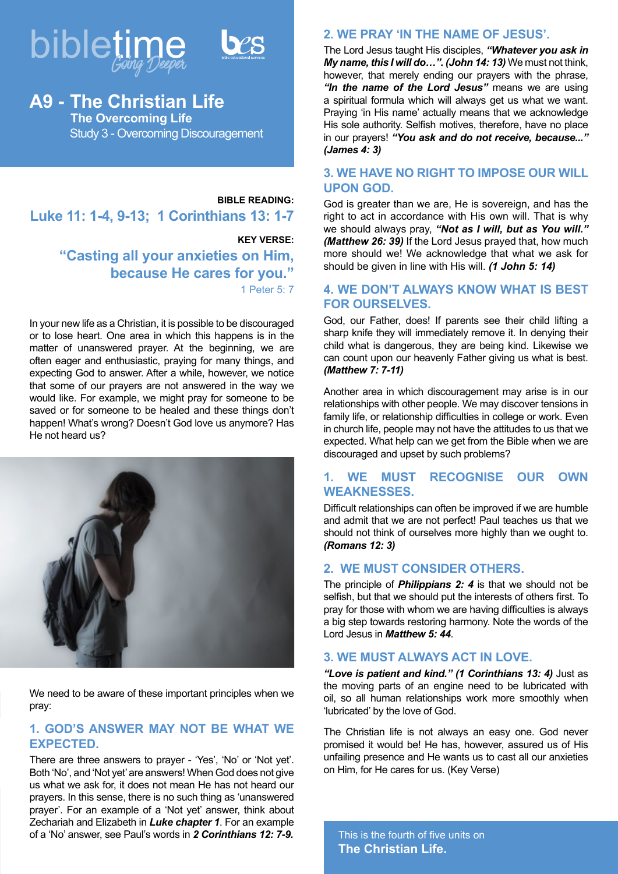



# **A9 - The Christian Life The Overcoming Life** Study 3 - Overcoming Discouragement

# **BIBLE READING: Luke 11: 1-4, 9-13; 1 Corinthians 13: 1-7**

## **KEY VERSE: "Casting all your anxieties on Him, because He cares for you."** 1 Peter 5: 7

In your new life as a Christian, it is possible to be discouraged or to lose heart. One area in which this happens is in the matter of unanswered prayer. At the beginning, we are often eager and enthusiastic, praying for many things, and expecting God to answer. After a while, however, we notice that some of our prayers are not answered in the way we would like. For example, we might pray for someone to be saved or for someone to be healed and these things don't happen! What's wrong? Doesn't God love us anymore? Has He not heard us?



We need to be aware of these important principles when we pray:

## **1. GOD'S ANSWER MAY NOT BE WHAT WE EXPECTED.**

There are three answers to prayer - 'Yes', 'No' or 'Not yet'. Both 'No', and 'Not yet' are answers! When God does not give us what we ask for, it does not mean He has not heard our prayers. In this sense, there is no such thing as 'unanswered prayer'. For an example of a 'Not yet' answer, think about Zechariah and Elizabeth in *Luke chapter 1*. For an example of a 'No' answer, see Paul's words in *2 Corinthians 12: 7-9.*

## **2. WE PRAY 'IN THE NAME OF JESUS'.**

The Lord Jesus taught His disciples, *"Whatever you ask in My name, this I will do…". (John 14: 13)* We must not think, however, that merely ending our prayers with the phrase, *"In the name of the Lord Jesus"* means we are using a spiritual formula which will always get us what we want. Praying 'in His name' actually means that we acknowledge His sole authority. Selfish motives, therefore, have no place in our prayers! *"You ask and do not receive, because..." (James 4: 3)* 

## **3. WE HAVE NO RIGHT TO IMPOSE OUR WILL UPON GOD.**

God is greater than we are, He is sovereign, and has the right to act in accordance with His own will. That is why we should always pray, *"Not as I will, but as You will." (Matthew 26: 39)* If the Lord Jesus prayed that, how much more should we! We acknowledge that what we ask for should be given in line with His will. *(1 John 5: 14)*

## **4. WE DON'T ALWAYS KNOW WHAT IS BEST FOR OURSELVES.**

God, our Father, does! If parents see their child lifting a sharp knife they will immediately remove it. In denying their child what is dangerous, they are being kind. Likewise we can count upon our heavenly Father giving us what is best. *(Matthew 7: 7-11)*

Another area in which discouragement may arise is in our relationships with other people. We may discover tensions in family life, or relationship difficulties in college or work. Even in church life, people may not have the attitudes to us that we expected. What help can we get from the Bible when we are discouraged and upset by such problems?

## **1. WE MUST RECOGNISE OUR OWN WEAKNESSES.**

Difficult relationships can often be improved if we are humble and admit that we are not perfect! Paul teaches us that we should not think of ourselves more highly than we ought to. *(Romans 12: 3)* 

## **2. WE MUST CONSIDER OTHERS.**

The principle of *Philippians 2: 4* is that we should not be selfish, but that we should put the interests of others first. To pray for those with whom we are having difficulties is always a big step towards restoring harmony. Note the words of the Lord Jesus in *Matthew 5: 44*.

## **3. WE MUST ALWAYS ACT IN LOVE.**

*"Love is patient and kind." (1 Corinthians 13: 4)* Just as the moving parts of an engine need to be lubricated with oil, so all human relationships work more smoothly when 'lubricated' by the love of God.

The Christian life is not always an easy one. God never promised it would be! He has, however, assured us of His unfailing presence and He wants us to cast all our anxieties on Him, for He cares for us. (Key Verse)

This is the fourth of five units on **The Christian Life.**